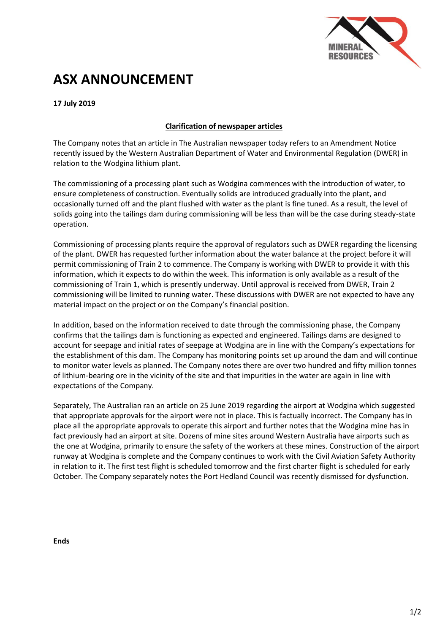

## **ASX ANNOUNCEMENT**

**17 July 2019**

## **Clarification of newspaper articles**

The Company notes that an article in The Australian newspaper today refers to an Amendment Notice recently issued by the Western Australian Department of Water and Environmental Regulation (DWER) in relation to the Wodgina lithium plant.

The commissioning of a processing plant such as Wodgina commences with the introduction of water, to ensure completeness of construction. Eventually solids are introduced gradually into the plant, and occasionally turned off and the plant flushed with water as the plant is fine tuned. As a result, the level of solids going into the tailings dam during commissioning will be less than will be the case during steady-state operation.

Commissioning of processing plants require the approval of regulators such as DWER regarding the licensing of the plant. DWER has requested further information about the water balance at the project before it will permit commissioning of Train 2 to commence. The Company is working with DWER to provide it with this information, which it expects to do within the week. This information is only available as a result of the commissioning of Train 1, which is presently underway. Until approval is received from DWER, Train 2 commissioning will be limited to running water. These discussions with DWER are not expected to have any material impact on the project or on the Company's financial position.

In addition, based on the information received to date through the commissioning phase, the Company confirms that the tailings dam is functioning as expected and engineered. Tailings dams are designed to account for seepage and initial rates of seepage at Wodgina are in line with the Company's expectations for the establishment of this dam. The Company has monitoring points set up around the dam and will continue to monitor water levels as planned. The Company notes there are over two hundred and fifty million tonnes of lithium-bearing ore in the vicinity of the site and that impurities in the water are again in line with expectations of the Company.

Separately, The Australian ran an article on 25 June 2019 regarding the airport at Wodgina which suggested that appropriate approvals for the airport were not in place. This is factually incorrect. The Company has in place all the appropriate approvals to operate this airport and further notes that the Wodgina mine has in fact previously had an airport at site. Dozens of mine sites around Western Australia have airports such as the one at Wodgina, primarily to ensure the safety of the workers at these mines. Construction of the airport runway at Wodgina is complete and the Company continues to work with the Civil Aviation Safety Authority in relation to it. The first test flight is scheduled tomorrow and the first charter flight is scheduled for early October. The Company separately notes the Port Hedland Council was recently dismissed for dysfunction.

**Ends**